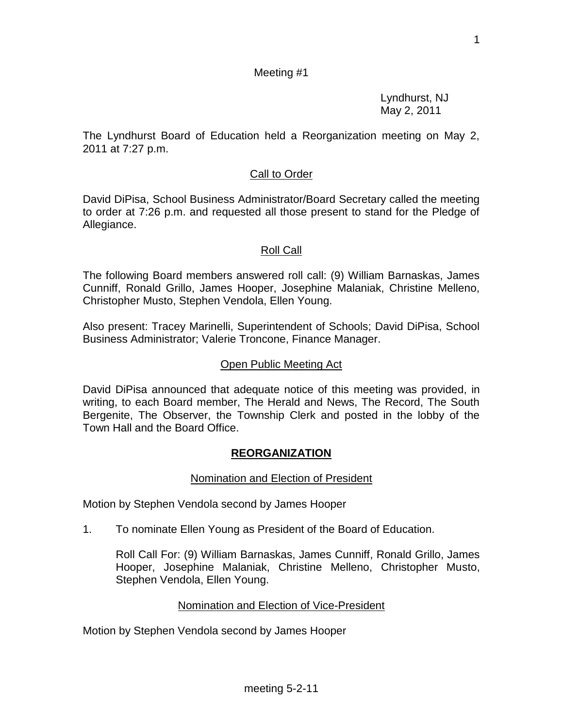1

# Meeting #1

Lyndhurst, NJ May 2, 2011

The Lyndhurst Board of Education held a Reorganization meeting on May 2, 2011 at 7:27 p.m.

#### Call to Order

David DiPisa, School Business Administrator/Board Secretary called the meeting to order at 7:26 p.m. and requested all those present to stand for the Pledge of Allegiance.

### Roll Call

The following Board members answered roll call: (9) William Barnaskas, James Cunniff, Ronald Grillo, James Hooper, Josephine Malaniak, Christine Melleno, Christopher Musto, Stephen Vendola, Ellen Young.

Also present: Tracey Marinelli, Superintendent of Schools; David DiPisa, School Business Administrator; Valerie Troncone, Finance Manager.

#### Open Public Meeting Act

David DiPisa announced that adequate notice of this meeting was provided, in writing, to each Board member, The Herald and News, The Record, The South Bergenite, The Observer, the Township Clerk and posted in the lobby of the Town Hall and the Board Office.

#### **REORGANIZATION**

#### Nomination and Election of President

Motion by Stephen Vendola second by James Hooper

1. To nominate Ellen Young as President of the Board of Education.

Roll Call For: (9) William Barnaskas, James Cunniff, Ronald Grillo, James Hooper, Josephine Malaniak, Christine Melleno, Christopher Musto, Stephen Vendola, Ellen Young.

#### Nomination and Election of Vice-President

Motion by Stephen Vendola second by James Hooper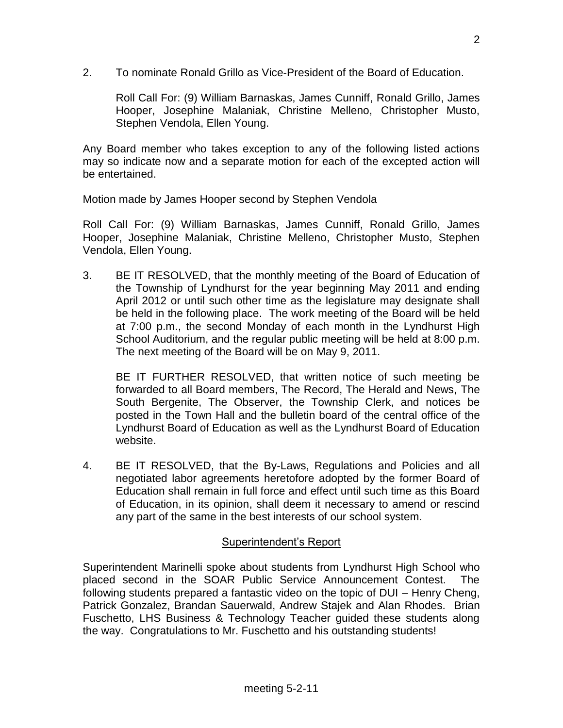2. To nominate Ronald Grillo as Vice-President of the Board of Education.

Roll Call For: (9) William Barnaskas, James Cunniff, Ronald Grillo, James Hooper, Josephine Malaniak, Christine Melleno, Christopher Musto, Stephen Vendola, Ellen Young.

Any Board member who takes exception to any of the following listed actions may so indicate now and a separate motion for each of the excepted action will be entertained.

Motion made by James Hooper second by Stephen Vendola

Roll Call For: (9) William Barnaskas, James Cunniff, Ronald Grillo, James Hooper, Josephine Malaniak, Christine Melleno, Christopher Musto, Stephen Vendola, Ellen Young.

3. BE IT RESOLVED, that the monthly meeting of the Board of Education of the Township of Lyndhurst for the year beginning May 2011 and ending April 2012 or until such other time as the legislature may designate shall be held in the following place. The work meeting of the Board will be held at 7:00 p.m., the second Monday of each month in the Lyndhurst High School Auditorium, and the regular public meeting will be held at 8:00 p.m. The next meeting of the Board will be on May 9, 2011.

BE IT FURTHER RESOLVED, that written notice of such meeting be forwarded to all Board members, The Record, The Herald and News, The South Bergenite, The Observer, the Township Clerk, and notices be posted in the Town Hall and the bulletin board of the central office of the Lyndhurst Board of Education as well as the Lyndhurst Board of Education website.

4. BE IT RESOLVED, that the By-Laws, Regulations and Policies and all negotiated labor agreements heretofore adopted by the former Board of Education shall remain in full force and effect until such time as this Board of Education, in its opinion, shall deem it necessary to amend or rescind any part of the same in the best interests of our school system.

## Superintendent's Report

Superintendent Marinelli spoke about students from Lyndhurst High School who placed second in the SOAR Public Service Announcement Contest. The following students prepared a fantastic video on the topic of DUI – Henry Cheng, Patrick Gonzalez, Brandan Sauerwald, Andrew Stajek and Alan Rhodes. Brian Fuschetto, LHS Business & Technology Teacher guided these students along the way. Congratulations to Mr. Fuschetto and his outstanding students!